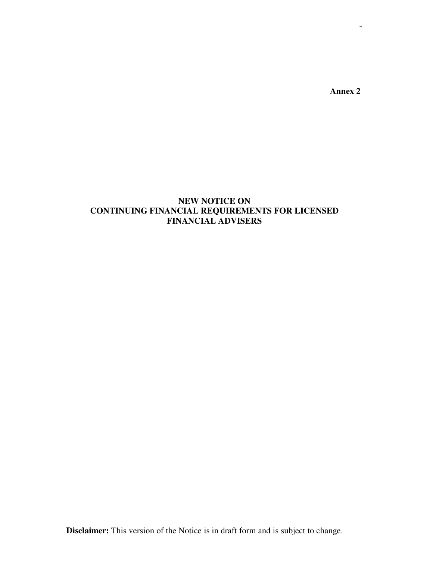**Annex 2** 

# **NEW NOTICE ON CONTINUING FINANCIAL REQUIREMENTS FOR LICENSED FINANCIAL ADVISERS**

**Disclaimer:** This version of the Notice is in draft form and is subject to change.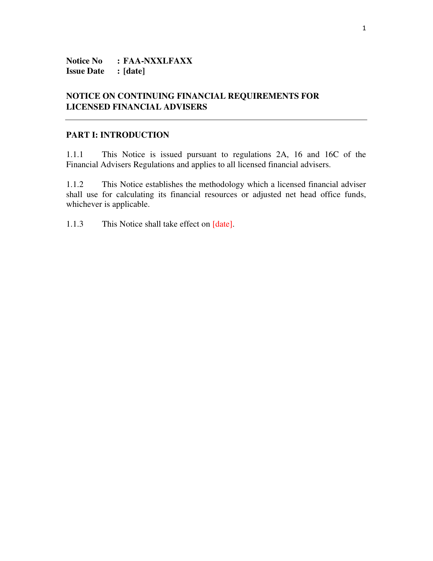**Notice No : FAA-NXXLFAXX Issue Date : [date]**

# **NOTICE ON CONTINUING FINANCIAL REQUIREMENTS FOR LICENSED FINANCIAL ADVISERS**

#### **PART I: INTRODUCTION**

1.1.1 This Notice is issued pursuant to regulations 2A, 16 and 16C of the Financial Advisers Regulations and applies to all licensed financial advisers.

1.1.2 This Notice establishes the methodology which a licensed financial adviser shall use for calculating its financial resources or adjusted net head office funds, whichever is applicable.

1.1.3 This Notice shall take effect on [date].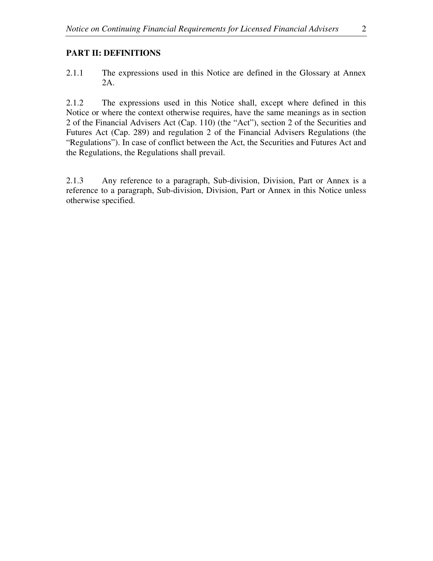# **PART II: DEFINITIONS**

2.1.1 The expressions used in this Notice are defined in the Glossary at Annex 2A.

2.1.2 The expressions used in this Notice shall, except where defined in this Notice or where the context otherwise requires, have the same meanings as in section 2 of the Financial Advisers Act (Cap. 110) (the "Act"), section 2 of the Securities and Futures Act (Cap. 289) and regulation 2 of the Financial Advisers Regulations (the "Regulations"). In case of conflict between the Act, the Securities and Futures Act and the Regulations, the Regulations shall prevail.

2.1.3 Any reference to a paragraph, Sub-division, Division, Part or Annex is a reference to a paragraph, Sub-division, Division, Part or Annex in this Notice unless otherwise specified.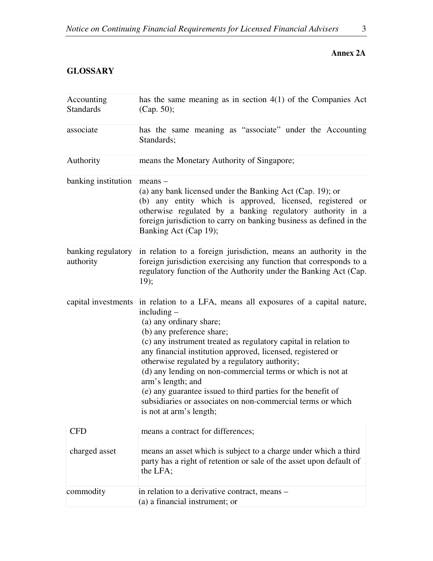# **Annex 2A**

# **GLOSSARY**

| Accounting<br><b>Standards</b>  | has the same meaning as in section $4(1)$ of the Companies Act<br>(Cap. 50);                                                                                                                                                                                                                                                                                                                                                                                                                                                                                                                 |
|---------------------------------|----------------------------------------------------------------------------------------------------------------------------------------------------------------------------------------------------------------------------------------------------------------------------------------------------------------------------------------------------------------------------------------------------------------------------------------------------------------------------------------------------------------------------------------------------------------------------------------------|
| associate                       | has the same meaning as "associate" under the Accounting<br>Standards;                                                                                                                                                                                                                                                                                                                                                                                                                                                                                                                       |
| Authority                       | means the Monetary Authority of Singapore;                                                                                                                                                                                                                                                                                                                                                                                                                                                                                                                                                   |
| banking institution             | $means -$<br>(a) any bank licensed under the Banking Act (Cap. 19); or<br>(b) any entity which is approved, licensed, registered or<br>otherwise regulated by a banking regulatory authority in a<br>foreign jurisdiction to carry on banking business as defined in the<br>Banking Act (Cap 19);                                                                                                                                                                                                                                                                                            |
| banking regulatory<br>authority | in relation to a foreign jurisdiction, means an authority in the<br>foreign jurisdiction exercising any function that corresponds to a<br>regulatory function of the Authority under the Banking Act (Cap.<br>19);                                                                                                                                                                                                                                                                                                                                                                           |
|                                 | capital investments in relation to a LFA, means all exposures of a capital nature,<br>$including -$<br>(a) any ordinary share;<br>(b) any preference share;<br>(c) any instrument treated as regulatory capital in relation to<br>any financial institution approved, licensed, registered or<br>otherwise regulated by a regulatory authority;<br>(d) any lending on non-commercial terms or which is not at<br>arm's length; and<br>(e) any guarantee issued to third parties for the benefit of<br>subsidiaries or associates on non-commercial terms or which<br>is not at arm's length; |
| <b>CFD</b>                      | means a contract for differences;                                                                                                                                                                                                                                                                                                                                                                                                                                                                                                                                                            |
| charged asset                   | means an asset which is subject to a charge under which a third<br>party has a right of retention or sale of the asset upon default of<br>the LFA;                                                                                                                                                                                                                                                                                                                                                                                                                                           |
| commodity                       | in relation to a derivative contract, means –<br>(a) a financial instrument; or                                                                                                                                                                                                                                                                                                                                                                                                                                                                                                              |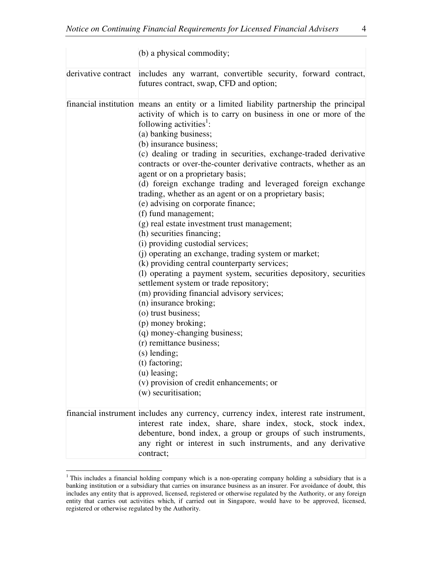|                     | (b) a physical commodity;                                                                                                                                                                                                                                                                                                                                                                                                                                                                                                                                                                                                                                                                                                                                                                                                                                                                                                                                                                                                                                                                                                                                                                                                                                                      |
|---------------------|--------------------------------------------------------------------------------------------------------------------------------------------------------------------------------------------------------------------------------------------------------------------------------------------------------------------------------------------------------------------------------------------------------------------------------------------------------------------------------------------------------------------------------------------------------------------------------------------------------------------------------------------------------------------------------------------------------------------------------------------------------------------------------------------------------------------------------------------------------------------------------------------------------------------------------------------------------------------------------------------------------------------------------------------------------------------------------------------------------------------------------------------------------------------------------------------------------------------------------------------------------------------------------|
| derivative contract | includes any warrant, convertible security, forward contract,<br>futures contract, swap, CFD and option;                                                                                                                                                                                                                                                                                                                                                                                                                                                                                                                                                                                                                                                                                                                                                                                                                                                                                                                                                                                                                                                                                                                                                                       |
|                     | financial institution means an entity or a limited liability partnership the principal<br>activity of which is to carry on business in one or more of the<br>following activities <sup>1</sup> :<br>(a) banking business;<br>(b) insurance business;<br>(c) dealing or trading in securities, exchange-traded derivative<br>contracts or over-the-counter derivative contracts, whether as an<br>agent or on a proprietary basis;<br>(d) foreign exchange trading and leveraged foreign exchange<br>trading, whether as an agent or on a proprietary basis;<br>(e) advising on corporate finance;<br>(f) fund management;<br>(g) real estate investment trust management;<br>(h) securities financing;<br>(i) providing custodial services;<br>(j) operating an exchange, trading system or market;<br>(k) providing central counterparty services;<br>(1) operating a payment system, securities depository, securities<br>settlement system or trade repository;<br>(m) providing financial advisory services;<br>(n) insurance broking;<br>(o) trust business;<br>(p) money broking;<br>(q) money-changing business;<br>(r) remittance business;<br>$(s)$ lending;<br>(t) factoring;<br>$(u)$ leasing;<br>$(v)$ provision of credit enhancements; or<br>(w) securitisation; |
|                     | financial instrument includes any currency, currency index, interest rate instrument,<br>interest rate index, share, share index, stock, stock index,<br>debenture, bond index, a group or groups of such instruments,<br>any right or interest in such instruments, and any derivative<br>contract;                                                                                                                                                                                                                                                                                                                                                                                                                                                                                                                                                                                                                                                                                                                                                                                                                                                                                                                                                                           |

<sup>&</sup>lt;sup>1</sup> This includes a financial holding company which is a non-operating company holding a subsidiary that is a banking institution or a subsidiary that carries on insurance business as an insurer. For avoidance of doubt, this includes any entity that is approved, licensed, registered or otherwise regulated by the Authority, or any foreign entity that carries out activities which, if carried out in Singapore, would have to be approved, licensed, registered or otherwise regulated by the Authority.

 $\overline{a}$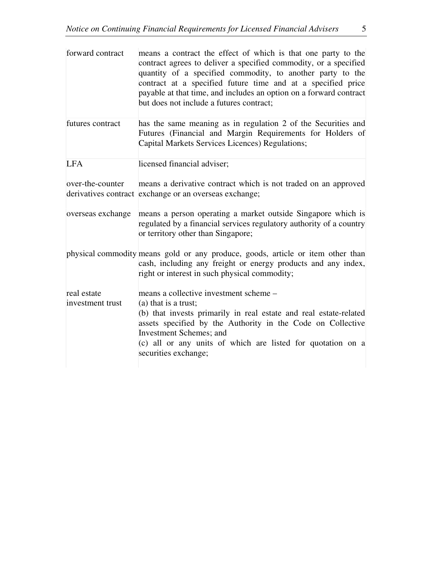| forward contract  | means a contract the effect of which is that one party to the<br>contract agrees to deliver a specified commodity, or a specified<br>quantity of a specified commodity, to another party to the<br>contract at a specified future time and at a specified price<br>payable at that time, and includes an option on a forward contract<br>but does not include a futures contract; |
|-------------------|-----------------------------------------------------------------------------------------------------------------------------------------------------------------------------------------------------------------------------------------------------------------------------------------------------------------------------------------------------------------------------------|
| futures contract  | has the same meaning as in regulation 2 of the Securities and<br>Futures (Financial and Margin Requirements for Holders of<br>Capital Markets Services Licences) Regulations;                                                                                                                                                                                                     |
| <b>LFA</b>        | licensed financial adviser;                                                                                                                                                                                                                                                                                                                                                       |
| over-the-counter  | means a derivative contract which is not traded on an approved<br>derivatives contract exchange or an overseas exchange;                                                                                                                                                                                                                                                          |
| overseas exchange | means a person operating a market outside Singapore which is<br>regulated by a financial services regulatory authority of a country<br>or territory other than Singapore;                                                                                                                                                                                                         |
|                   | physical commodity means gold or any produce, goods, article or item other than<br>cash, including any freight or energy products and any index,<br>right or interest in such physical commodity;                                                                                                                                                                                 |
| real estate       | means a collective investment scheme -                                                                                                                                                                                                                                                                                                                                            |
| investment trust  | $(a)$ that is a trust;<br>(b) that invests primarily in real estate and real estate-related<br>assets specified by the Authority in the Code on Collective<br><b>Investment Schemes</b> ; and<br>(c) all or any units of which are listed for quotation on a<br>securities exchange;                                                                                              |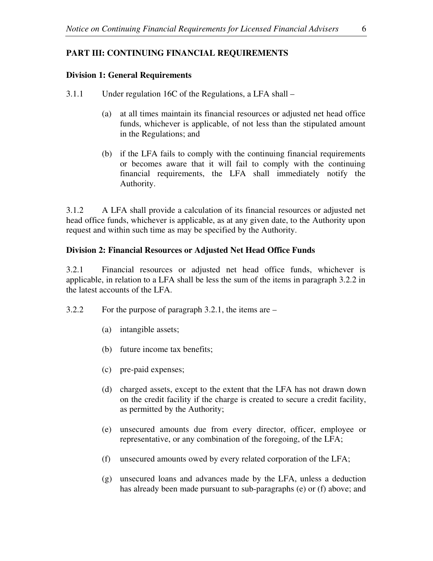# **PART III: CONTINUING FINANCIAL REQUIREMENTS**

### **Division 1: General Requirements**

- 3.1.1 Under regulation 16C of the Regulations, a LFA shall
	- (a) at all times maintain its financial resources or adjusted net head office funds, whichever is applicable, of not less than the stipulated amount in the Regulations; and
	- (b) if the LFA fails to comply with the continuing financial requirements or becomes aware that it will fail to comply with the continuing financial requirements, the LFA shall immediately notify the Authority.

3.1.2 A LFA shall provide a calculation of its financial resources or adjusted net head office funds, whichever is applicable, as at any given date, to the Authority upon request and within such time as may be specified by the Authority.

### **Division 2: Financial Resources or Adjusted Net Head Office Funds**

3.2.1 Financial resources or adjusted net head office funds, whichever is applicable, in relation to a LFA shall be less the sum of the items in paragraph 3.2.2 in the latest accounts of the LFA.

- 3.2.2 For the purpose of paragraph 3.2.1, the items are
	- (a) intangible assets;
	- (b) future income tax benefits;
	- (c) pre-paid expenses;
	- (d) charged assets, except to the extent that the LFA has not drawn down on the credit facility if the charge is created to secure a credit facility, as permitted by the Authority;
	- (e) unsecured amounts due from every director, officer, employee or representative, or any combination of the foregoing, of the LFA;
	- (f) unsecured amounts owed by every related corporation of the LFA;
	- (g) unsecured loans and advances made by the LFA, unless a deduction has already been made pursuant to sub-paragraphs (e) or (f) above; and